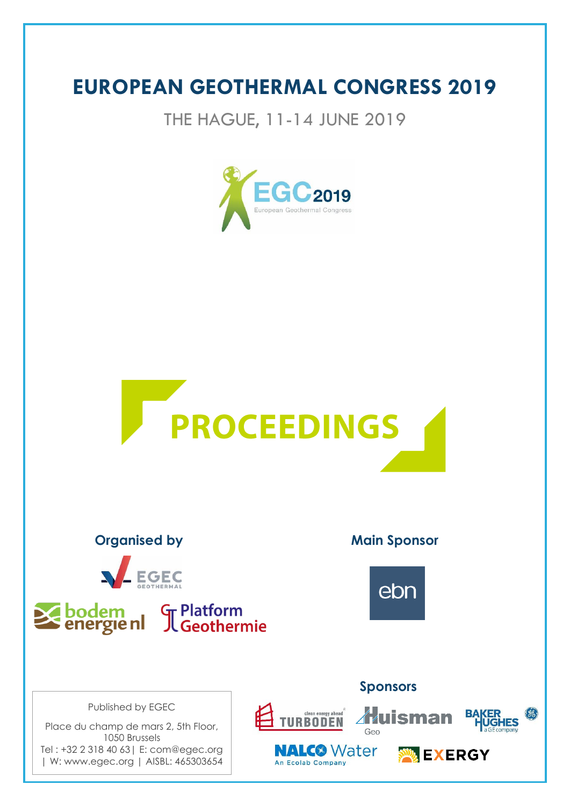# **EUROPEAN GEOTHERMAL CONGRESS 2019**

THE HAGUE, 11-14 JUNE 2019







Published by EGEC

Place du champ de mars 2, 5th Floor, 1050 Brussels Tel : +32 2 318 40 63| E: com@egec.org | W: www.egec.org | AISBL: 465303654

**Organised by Main Sponsor** 



### **Sponsors**

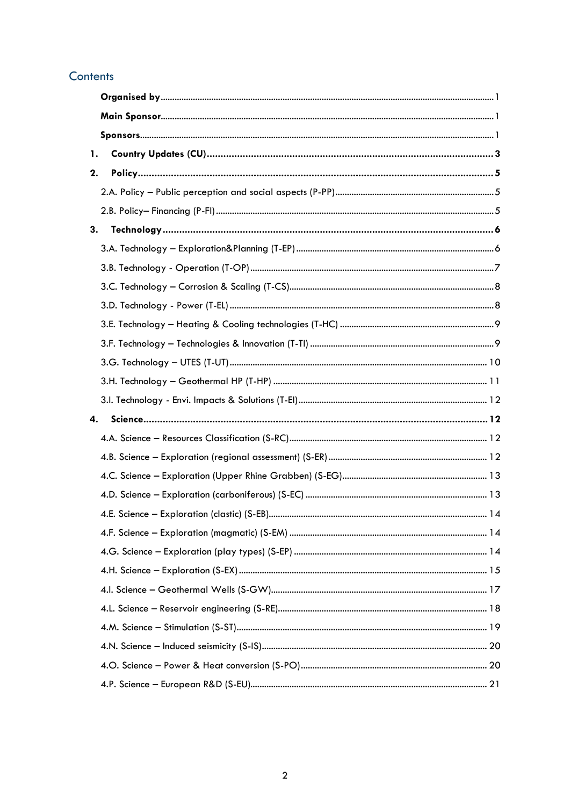#### Contents

| 1. |  |
|----|--|
| 2. |  |
|    |  |
|    |  |
| 3. |  |
|    |  |
|    |  |
|    |  |
|    |  |
|    |  |
|    |  |
|    |  |
|    |  |
|    |  |
| 4. |  |
|    |  |
|    |  |
|    |  |
|    |  |
|    |  |
|    |  |
|    |  |
|    |  |
|    |  |
|    |  |
|    |  |
|    |  |
|    |  |
|    |  |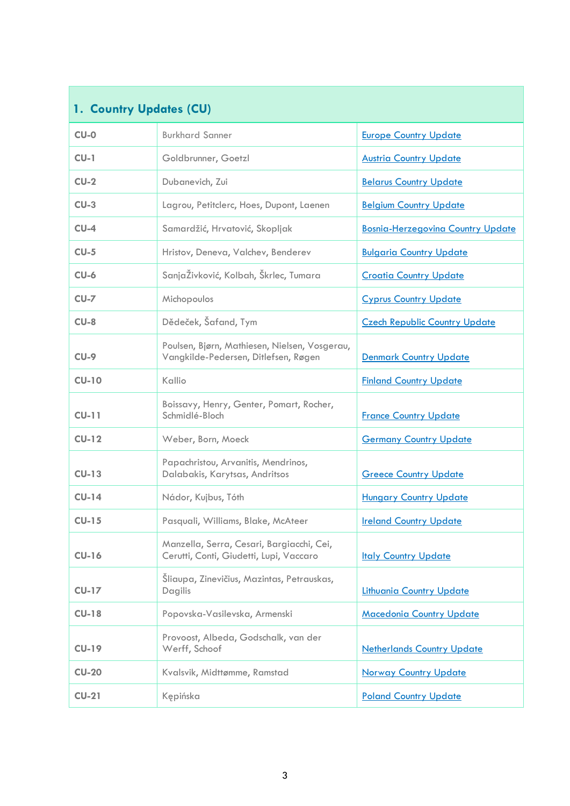<span id="page-2-0"></span>

| 1. Country Updates (CU)                                          |                                                                                       |                                      |  |  |
|------------------------------------------------------------------|---------------------------------------------------------------------------------------|--------------------------------------|--|--|
| $CU-O$                                                           | <b>Burkhard Sanner</b>                                                                | <b>Europe Country Update</b>         |  |  |
| $CU-1$                                                           | Goldbrunner, Goetzl                                                                   | <b>Austria Country Update</b>        |  |  |
| $CU-2$                                                           | Dubanevich, Zui                                                                       | <b>Belarus Country Update</b>        |  |  |
| $CU-3$                                                           | Lagrou, Petitclerc, Hoes, Dupont, Laenen                                              | <b>Belgium Country Update</b>        |  |  |
| $CU-4$                                                           | Samardžić, Hrvatović, Skopljak                                                        | Bosnia-Herzegovina Country Update    |  |  |
| $CU-5$                                                           | Hristov, Deneva, Valchev, Benderev                                                    | <b>Bulgaria Country Update</b>       |  |  |
| $CU-6$                                                           | SanjaŽivković, Kolbah, Škrlec, Tumara                                                 | <b>Croatia Country Update</b>        |  |  |
| $CU-7$                                                           | Michopoulos                                                                           | <b>Cyprus Country Update</b>         |  |  |
| $CU-8$                                                           | Dědeček, Šafand, Tym                                                                  | <b>Czech Republic Country Update</b> |  |  |
| $CU-9$                                                           | Poulsen, Bjørn, Mathiesen, Nielsen, Vosgerau,<br>Vangkilde-Pedersen, Ditlefsen, Røgen | Denmark Country Update               |  |  |
| $CU-10$<br>Kallio                                                |                                                                                       | <b>Finland Country Update</b>        |  |  |
| $CU-11$                                                          | Boissavy, Henry, Genter, Pomart, Rocher,<br>Schmidlé-Bloch                            | <b>France Country Update</b>         |  |  |
| $CU-12$<br>Weber, Born, Moeck                                    |                                                                                       | <b>Germany Country Update</b>        |  |  |
| $CU-13$                                                          | Papachristou, Arvanitis, Mendrinos,<br>Dalabakis, Karytsas, Andritsos                 | <b>Greece Country Update</b>         |  |  |
| $CU-14$                                                          | Nádor, Kujbus, Tóth                                                                   | <b>Hungary Country Update</b>        |  |  |
| $CU-15$                                                          | Pasquali, Williams, Blake, McAteer                                                    | <b>Ireland Country Update</b>        |  |  |
| $CU-16$                                                          | Manzella, Serra, Cesari, Bargiacchi, Cei,<br>Cerutti, Conti, Giudetti, Lupi, Vaccaro  | <b>Italy Country Update</b>          |  |  |
| Šliaupa, Zinevičius, Mazintas, Petrauskas,<br>$CU-17$<br>Dagilis |                                                                                       | <b>Lithuania Country Update</b>      |  |  |
| $CU-18$                                                          | Popovska-Vasilevska, Armenski                                                         | <b>Macedonia Country Update</b>      |  |  |
| $CU-19$                                                          | Provoost, Albeda, Godschalk, van der<br>Werff, Schoof                                 | <b>Netherlands Country Update</b>    |  |  |
| $CU-20$                                                          | Kvalsvik, Midttømme, Ramstad                                                          | <b>Norway Country Update</b>         |  |  |
| $CU-21$<br>Kępińska                                              |                                                                                       | <b>Poland Country Update</b>         |  |  |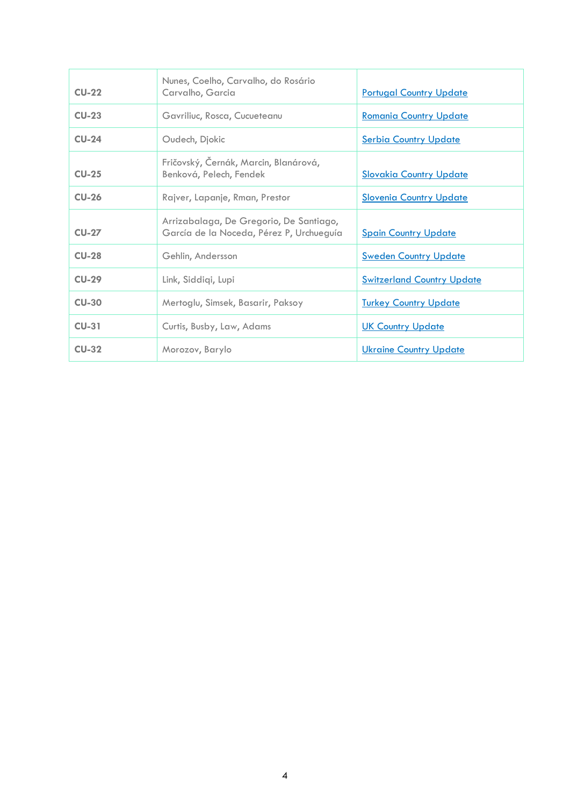| $CU-22$                        | Nunes, Coelho, Carvalho, do Rosário<br>Carvalho, Garcia                             | <b>Portugal Country Update</b>    |
|--------------------------------|-------------------------------------------------------------------------------------|-----------------------------------|
| $CU-23$                        | Gavriliuc, Rosca, Cucueteanu                                                        | <b>Romania Country Update</b>     |
| $CU-24$                        | Oudech, Djokic                                                                      | <b>Serbia Country Update</b>      |
| $CU-25$                        | Fričovský, Černák, Marcin, Blanárová,<br>Benková, Pelech, Fendek                    | <b>Slovakia Country Update</b>    |
| $CU-26$                        | Rajver, Lapanje, Rman, Prestor                                                      | <b>Slovenia Country Update</b>    |
| $CU-27$                        | Arrizabalaga, De Gregorio, De Santiago,<br>García de la Noceda, Pérez P, Urchueguía | <b>Spain Country Update</b>       |
| $CU-28$                        | Gehlin, Andersson                                                                   | <b>Sweden Country Update</b>      |
| $CU-29$<br>Link, Siddigi, Lupi |                                                                                     | <b>Switzerland Country Update</b> |
| <b>CU-30</b>                   | Mertoglu, Simsek, Basarir, Paksoy                                                   | <b>Turkey Country Update</b>      |
| $CU-31$                        | Curtis, Busby, Law, Adams                                                           | <b>UK Country Update</b>          |
| $CU-32$                        | Morozov, Barylo                                                                     | <b>Ukraine Country Update</b>     |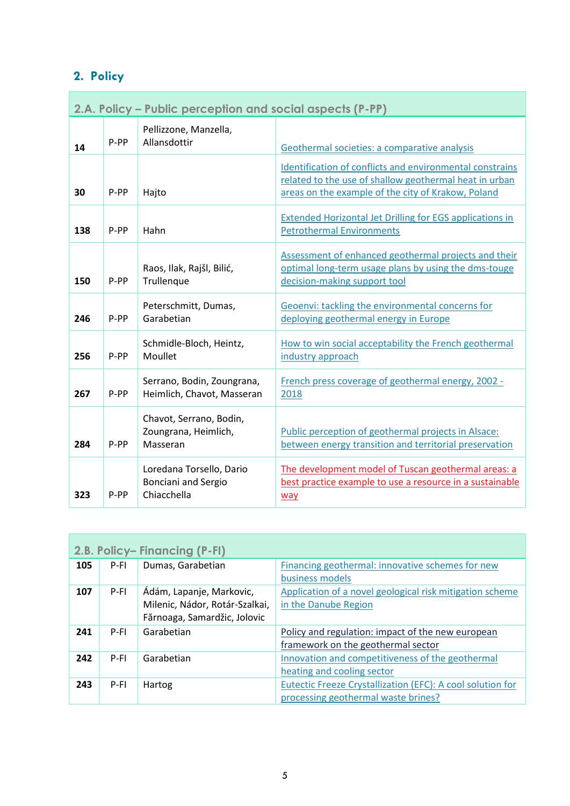## <span id="page-4-0"></span>**2. Policy**

<span id="page-4-1"></span>

|     | 2.A. Policy – Public perception and social aspects (P-PP) |                                                                       |                                                                                                                                                                          |
|-----|-----------------------------------------------------------|-----------------------------------------------------------------------|--------------------------------------------------------------------------------------------------------------------------------------------------------------------------|
| 14  | P-PP                                                      | Pellizzone, Manzella,<br>Allansdottir                                 | Geothermal societies: a comparative analysis                                                                                                                             |
| 30  | P-PP                                                      | Hajto                                                                 | Identification of conflicts and environmental constrains<br>related to the use of shallow geothermal heat in urban<br>areas on the example of the city of Krakow, Poland |
| 138 | P-PP                                                      | Hahn                                                                  | <b>Extended Horizontal Jet Drilling for EGS applications in</b><br><b>Petrothermal Environments</b>                                                                      |
| 150 | P-PP                                                      | Raos, Ilak, Rajšl, Bilić,<br>Trullenque                               | Assessment of enhanced geothermal projects and their<br>optimal long-term usage plans by using the dms-touge<br>decision-making support tool                             |
| 246 | P-PP                                                      | Peterschmitt, Dumas,<br>Garabetian                                    | Geoenvi: tackling the environmental concerns for<br>deploying geothermal energy in Europe                                                                                |
| 256 | P-PP                                                      | Schmidle-Bloch, Heintz,<br>Moullet                                    | How to win social acceptability the French geothermal<br>industry approach                                                                                               |
| 267 | P-PP                                                      | Serrano, Bodin, Zoungrana,<br>Heimlich, Chavot, Masseran              | French press coverage of geothermal energy, 2002 -<br>2018                                                                                                               |
| 284 | P-PP                                                      | Chavot, Serrano, Bodin,<br>Zoungrana, Heimlich,<br>Masseran           | Public perception of geothermal projects in Alsace:<br>between energy transition and territorial preservation                                                            |
| 323 | P-PP                                                      | Loredana Torsello, Dario<br><b>Bonciani and Sergio</b><br>Chiacchella | The development model of Tuscan geothermal areas: a<br>best practice example to use a resource in a sustainable<br>way                                                   |

<span id="page-4-2"></span>

|     | 2.B. Policy-Financing (P-FI) |                                                                                            |                                                                                                   |  |
|-----|------------------------------|--------------------------------------------------------------------------------------------|---------------------------------------------------------------------------------------------------|--|
| 105 | P-FI                         | Dumas, Garabetian                                                                          | Financing geothermal: innovative schemes for new<br>business models                               |  |
| 107 | P-FI                         | Ádám, Lapanje, Markovic,<br>Milenic, Nádor, Rotár-Szalkai,<br>Fărnoaga, Samardžic, Jolovic | Application of a novel geological risk mitigation scheme<br>in the Danube Region                  |  |
| 241 | P-FI                         | Garabetian                                                                                 | Policy and regulation: impact of the new european<br>framework on the geothermal sector           |  |
| 242 | $P-FI$                       | Garabetian                                                                                 | Innovation and competitiveness of the geothermal<br>heating and cooling sector                    |  |
| 243 | P-FI                         | Hartog                                                                                     | Eutectic Freeze Crystallization (EFC): A cool solution for<br>processing geothermal waste brines? |  |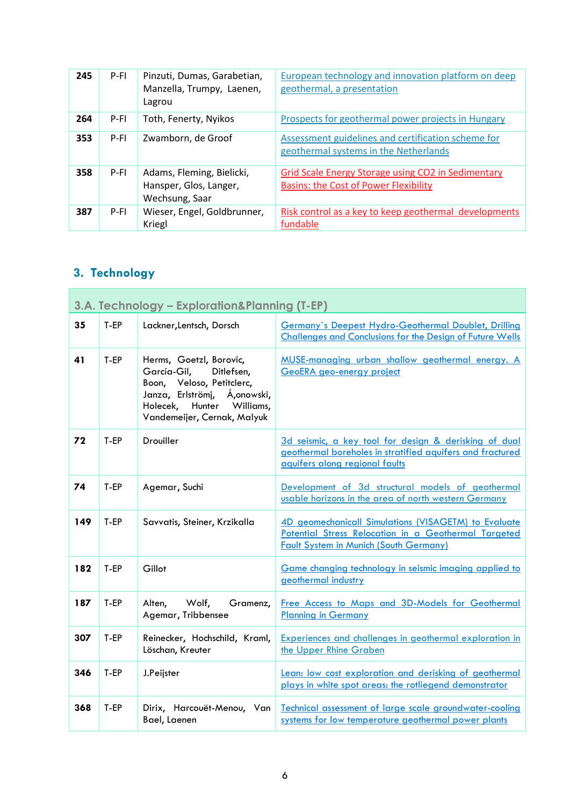| 245 | P-FI   | Pinzuti, Dumas, Garabetian,<br>Manzella, Trumpy, Laenen,<br>Lagrou    | European technology and innovation platform on deep<br>geothermal, a presentation                  |
|-----|--------|-----------------------------------------------------------------------|----------------------------------------------------------------------------------------------------|
| 264 | P-FI   | Toth, Fenerty, Nyikos                                                 | Prospects for geothermal power projects in Hungary                                                 |
| 353 | $P-FI$ | Zwamborn, de Groof                                                    | Assessment guidelines and certification scheme for<br>geothermal systems in the Netherlands        |
| 358 | P-FI   | Adams, Fleming, Bielicki,<br>Hansper, Glos, Langer,<br>Wechsung, Saar | Grid Scale Energy Storage using CO2 in Sedimentary<br><b>Basins: the Cost of Power Flexibility</b> |
| 387 | $P-FI$ | Wieser, Engel, Goldbrunner,<br>Kriegl                                 | Risk control as a key to keep geothermal developments<br>fundable                                  |

## <span id="page-5-0"></span>**3. Technology**

<span id="page-5-1"></span>

|     | 3.A. Technology - Exploration&Planning (T-EP) |                                                                                                                                                                               |                                                                                                                                                               |  |
|-----|-----------------------------------------------|-------------------------------------------------------------------------------------------------------------------------------------------------------------------------------|---------------------------------------------------------------------------------------------------------------------------------------------------------------|--|
| 35  | T-EP                                          | Lackner, Lentsch, Dorsch                                                                                                                                                      | Germany's Deepest Hydro-Geothermal Doublet, Drilling<br>Challenges and Conclusions for the Design of Future Wells                                             |  |
| 41  | T-EP                                          | Herms, Goetzl, Borovic,<br>García-Gil,<br>Ditlefsen,<br>Boon, Veloso, Petitclerc,<br>Janza, Erlströmj, Å,onowski,<br>Holecek, Hunter Williams,<br>Vandemeijer, Cernak, Malyuk | MUSE-managing urban shallow geothermal energy. A<br>GeoERA geo-energy project                                                                                 |  |
| 72  | T-EP                                          | Drouiller                                                                                                                                                                     | 3d seismic, a key tool for design & derisking of dual<br>geothermal boreholes in stratified aquifers and fractured<br>aquifers along regional faults          |  |
| 74  | T-EP                                          | Agemar, Suchi                                                                                                                                                                 | Development of 3d structural models of geothermal<br>usable horizons in the area of north western Germany                                                     |  |
| 149 | T-EP                                          | Savvatis, Steiner, Krzikalla                                                                                                                                                  | 4D geomechanicall Simulations (VISAGETM) to Evaluate<br>Potential Stress Relocation in a Geothermal Targeted<br><b>Fault System in Munich (South Germany)</b> |  |
| 182 | T-EP                                          | Gillot                                                                                                                                                                        | Game changing technology in seismic imaging applied to<br>geothermal industry                                                                                 |  |
| 187 | T-EP                                          | Wolf,<br>Gramenz,<br>Alten,<br>Agemar, Tribbensee                                                                                                                             | Free Access to Maps and 3D-Models for Geothermal<br><b>Planning in Germany</b>                                                                                |  |
| 307 | T-EP                                          | Reinecker, Hochschild, Kraml,<br>Löschan, Kreuter                                                                                                                             | <b>Experiences and challenges in geothermal exploration in</b><br>the Upper Rhine Graben                                                                      |  |
| 346 | T-EP                                          | J.Peijster                                                                                                                                                                    | Lean: low cost exploration and derisking of geothermal<br>plays in white spot areas: the rotliegend demonstrator                                              |  |
| 368 | T-EP                                          | Dirix, Harcouët-Menou, Van<br>Bael, Laenen                                                                                                                                    | Technical assessment of large scale groundwater-cooling<br>systems for low temperature geothermal power plants                                                |  |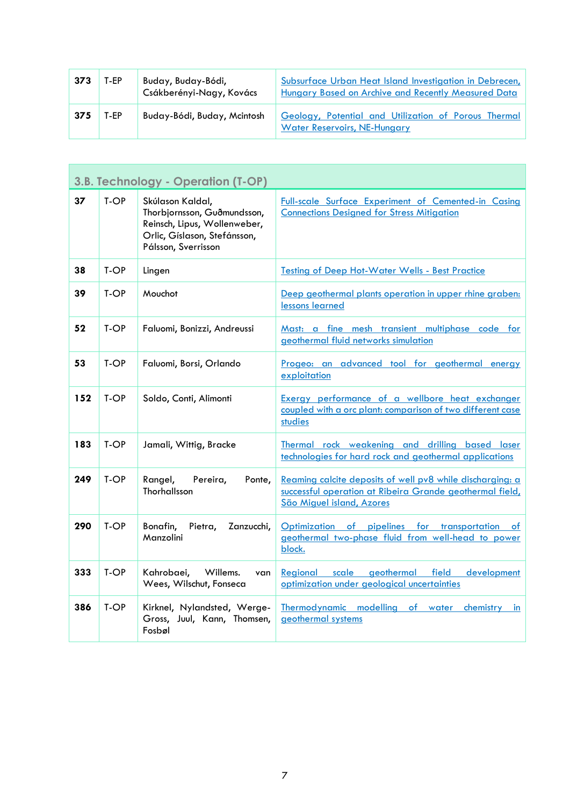| 373 | T-EP | Buday, Buday-Bódi,<br>Csákberényi-Nagy, Kovács | Subsurface Urban Heat Island Investigation in Debrecen,<br>Hungary Based on Archive and Recently Measured Data |
|-----|------|------------------------------------------------|----------------------------------------------------------------------------------------------------------------|
| 375 | T-EP | Buday-Bódi, Buday, Mcintosh                    | Geology, Potential and Utilization of Porous Thermal<br><b>Water Reservoirs, NE-Hungary</b>                    |

<span id="page-6-0"></span>

|     | 3.B. Technology - Operation (T-OP) |                                                                                                                                        |                                                                                                                                                    |
|-----|------------------------------------|----------------------------------------------------------------------------------------------------------------------------------------|----------------------------------------------------------------------------------------------------------------------------------------------------|
| 37  | T-OP                               | Skúlason Kaldal,<br>Thorbjornsson, Guðmundsson,<br>Reinsch, Lipus, Wollenweber,<br>Orlic, Gíslason, Stefánsson,<br>Pálsson, Sverrisson | Full-scale Surface Experiment of Cemented-in Casing<br><b>Connections Designed for Stress Mitigation</b>                                           |
| 38  | T-OP                               | Lingen                                                                                                                                 | <b>Testing of Deep Hot-Water Wells - Best Practice</b>                                                                                             |
| 39  | T-OP                               | Mouchot                                                                                                                                | Deep geothermal plants operation in upper rhine graben:<br>lessons learned                                                                         |
| 52  | T-OP                               | Faluomi, Bonizzi, Andreussi                                                                                                            | Mast: a fine mesh transient multiphase code for<br>geothermal fluid networks simulation                                                            |
| 53  | T-OP                               | Faluomi, Borsi, Orlando                                                                                                                | Progeo: an advanced tool for geothermal energy<br>exploitation                                                                                     |
| 152 | T-OP                               | Soldo, Conti, Alimonti                                                                                                                 | Exergy performance of a wellbore heat exchanger<br>coupled with a orc plant: comparison of two different case<br>studies                           |
| 183 | T-OP                               | Jamali, Wittig, Bracke                                                                                                                 | Thermal rock weakening and drilling based laser<br>technologies for hard rock and geothermal applications                                          |
| 249 | T-OP                               | Rangel,<br>Pereira,<br>Ponte,<br>Thorhallsson                                                                                          | Reaming calcite deposits of well pv8 while discharging: a<br>successful operation at Ribeira Grande geothermal field,<br>São Miguel island, Azores |
| 290 | T-OP                               | Bonafin,<br>Pietra,<br>Zanzucchi,<br>Manzolini                                                                                         | Optimization of pipelines for transportation of<br>geothermal two-phase fluid from well-head to power<br>block.                                    |
| 333 | T-OP                               | Kahrobaei,<br>Willems.<br>van<br>Wees, Wilschut, Fonseca                                                                               | geothermal<br>field<br>scale<br>development<br>Regional<br>optimization under geological uncertainties                                             |
| 386 | T-OP                               | Kirknel, Nylandsted, Werge-<br>Gross, Juul, Kann, Thomsen,<br>Fosbøl                                                                   | Thermodynamic modelling of water<br>chemistry<br>in<br>geothermal systems                                                                          |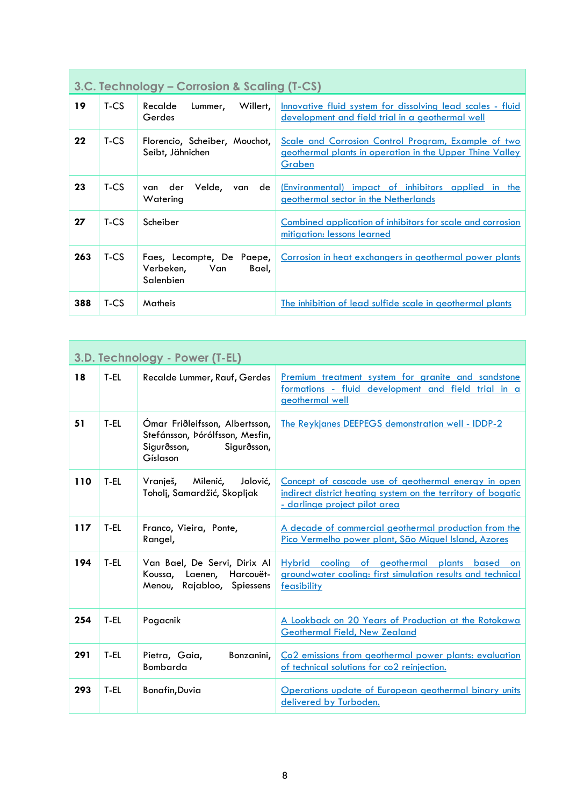<span id="page-7-0"></span>

|     | 3.C. Technology – Corrosion & Scaling (T-CS) |                                                                     |                                                                                                                           |
|-----|----------------------------------------------|---------------------------------------------------------------------|---------------------------------------------------------------------------------------------------------------------------|
| 19  | $T-CS$                                       | Willert,<br>Recalde<br>Lummer,<br>Gerdes                            | Innovative fluid system for dissolving lead scales - fluid<br>development and field trial in a geothermal well            |
| 22  | T-CS                                         | Florencio, Scheiber, Mouchot,<br>Seibt, Jähnichen                   | Scale and Corrosion Control Program, Example of two<br>geothermal plants in operation in the Upper Thine Valley<br>Graben |
| 23  | T-CS                                         | Velde,<br>der<br>de<br>van<br>van<br>Watering                       | (Environmental) impact of inhibitors applied in the<br>geothermal sector in the Netherlands                               |
| 27  | $T-CS$                                       | Scheiber                                                            | Combined application of inhibitors for scale and corrosion<br>mitigation: lessons learned                                 |
| 263 | T-CS                                         | Faes, Lecompte, De Paepe,<br>Verbeken,<br>Bael,<br>Van<br>Salenbien | Corrosion in heat exchangers in geothermal power plants                                                                   |
| 388 | T-CS                                         | Matheis                                                             | The inhibition of lead sulfide scale in geothermal plants                                                                 |

<span id="page-7-1"></span>

|     | 3.D. Technology - Power (T-EL) |                                                                                                             |                                                                                                                                                             |  |
|-----|--------------------------------|-------------------------------------------------------------------------------------------------------------|-------------------------------------------------------------------------------------------------------------------------------------------------------------|--|
| 18  | T-EL                           | Recalde Lummer, Rauf, Gerdes                                                                                | Premium treatment system for granite and sandstone<br>formations - fluid development and field trial in a<br>geothermal well                                |  |
| 51  | T-EL                           | Ómar Friðleifsson, Albertsson,<br>Stefánsson, Þórólfsson, Mesfin,<br>Sigurðsson,<br>Sigurðsson,<br>Gíslason | The Reykjanes DEEPEGS demonstration well - IDDP-2                                                                                                           |  |
| 110 | T-EL                           | Vranješ,<br>Milenić,<br>Jolović,<br>Toholj, Samardžić, Skopljak                                             | Concept of cascade use of geothermal energy in open<br>indirect district heating system on the territory of bogatic<br><u>- darlinge project pilot area</u> |  |
| 117 | T-EL                           | Franco, Vieira, Ponte,<br>Rangel,                                                                           | A decade of commercial geothermal production from the<br>Pico Vermelho power plant, São Miguel Island, Azores                                               |  |
| 194 | T-EL                           | Van Bael, De Servi, Dirix Al<br>Koussa, Laenen, Harcouët-<br>Menou, Rajabloo, Spiessens                     | Hybrid cooling of geothermal plants based on<br>groundwater cooling: first simulation results and technical<br>feasibility                                  |  |
| 254 | T-EL                           | Pogacnik                                                                                                    | A Lookback on 20 Years of Production at the Rotokawa<br><b>Geothermal Field, New Zealand</b>                                                                |  |
| 291 | T-EL                           | Pietra, Gaia,<br>Bonzanini,<br>Bombarda                                                                     | Co2 emissions from geothermal power plants: evaluation<br>of technical solutions for co2 reinjection.                                                       |  |
| 293 | T-EL                           | <b>Bonafin, Duvia</b>                                                                                       | Operations update of European geothermal binary units<br>delivered by Turboden.                                                                             |  |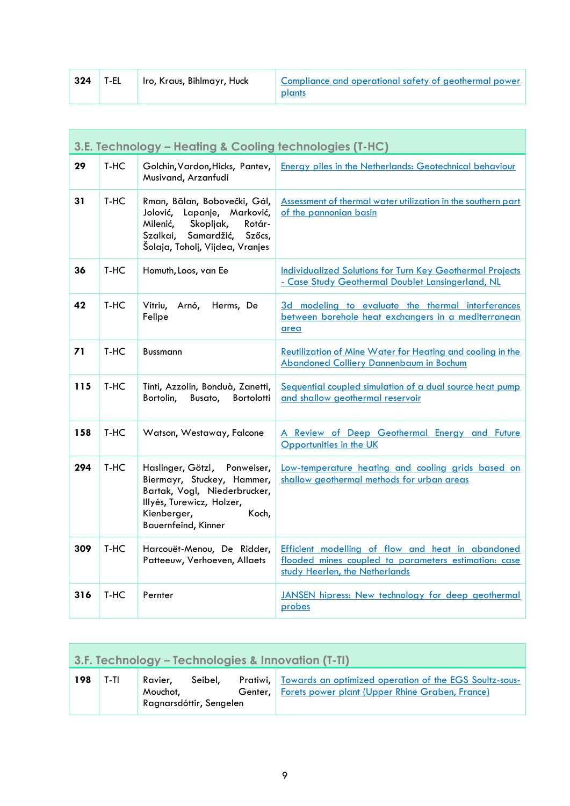| 324 | T-EL | Iro, Kraus, Bihlmayr, Huck | Compliance and operational safety of geothermal power<br>plants |
|-----|------|----------------------------|-----------------------------------------------------------------|
|-----|------|----------------------------|-----------------------------------------------------------------|

<span id="page-8-0"></span>

|     | 3.E. Technology - Heating & Cooling technologies (T-HC) |                                                                                                                                                                               |                                                                                                                                             |  |
|-----|---------------------------------------------------------|-------------------------------------------------------------------------------------------------------------------------------------------------------------------------------|---------------------------------------------------------------------------------------------------------------------------------------------|--|
| 29  | T-HC                                                    | Golchin, Vardon, Hicks, Pantev,<br>Musivand, Arzanfudi                                                                                                                        | <b>Energy piles in the Netherlands: Geotechnical behaviour</b>                                                                              |  |
| 31  | T-HC                                                    | Rman, Bălan, Bobovečki, Gál,<br>Lapanje, Marković,<br>Jolović,<br>Milenić,<br>Skopljak,<br>Rotár-<br>Samardžić, Szőcs,<br>Szalkai,<br>Šolaja, Toholj, Vijdea, Vranjes         | Assessment of thermal water utilization in the southern part<br>of the pannonian basin                                                      |  |
| 36  | T-HC                                                    | Homuth, Loos, van Ee                                                                                                                                                          | <b>Individualized Solutions for Turn Key Geothermal Projects</b><br>- Case Study Geothermal Doublet Lansingerland, NL                       |  |
| 42  | T-HC                                                    | Arnó,<br>Herms, De<br>Vitriu,<br>Felipe                                                                                                                                       | 3d modeling to evaluate the thermal interferences<br>between borehole heat exchangers in a mediterranean<br>area                            |  |
| 71  | T-HC                                                    | <b>Bussmann</b>                                                                                                                                                               | Reutilization of Mine Water for Heating and cooling in the<br><b>Abandoned Colliery Dannenbaum in Bochum</b>                                |  |
| 115 | T-HC                                                    | Tinti, Azzolin, Bonduà, Zanetti,<br>Bortolotti<br>Bortolin,<br>Busato,                                                                                                        | Sequential coupled simulation of a dual source heat pump<br>and shallow geothermal reservoir                                                |  |
| 158 | T-HC                                                    | Watson, Westaway, Falcone                                                                                                                                                     | A Review of Deep Geothermal Energy and Future<br>Opportunities in the UK                                                                    |  |
| 294 | T-HC                                                    | Haslinger, Götzl, Ponweiser,<br>Biermayr, Stuckey, Hammer,<br>Bartak, Vogl, Niederbrucker,<br>Illyés, Turewicz, Holzer,<br>Kienberger,<br>Koch,<br><b>Bauernfeind, Kinner</b> | Low-temperature heating and cooling grids based on<br>shallow geothermal methods for urban areas                                            |  |
| 309 | T-HC                                                    | Harcouët-Menou, De Ridder,<br>Patteeuw, Verhoeven, Allaets                                                                                                                    | Efficient modelling of flow and heat in abandoned<br>flooded mines coupled to parameters estimation: case<br>study Heerlen, the Netherlands |  |
| 316 | T-HC                                                    | Pernter                                                                                                                                                                       | JANSEN hipress: New technology for deep geothermal<br>probes                                                                                |  |

<span id="page-8-1"></span>

|     | 3.F. Technology – Technologies & Innovation (T-TI) |                                                |         |         |                                                                                                                           |  |  |
|-----|----------------------------------------------------|------------------------------------------------|---------|---------|---------------------------------------------------------------------------------------------------------------------------|--|--|
| 198 | T-TI                                               | Ravier,<br>Mouchot,<br>Ragnarsdóttir, Sengelen | Seibel. | Genter. | <b>Pratiwi,</b> Towards an optimized operation of the EGS Soultz-sous-<br>Forets power plant (Upper Rhine Graben, France) |  |  |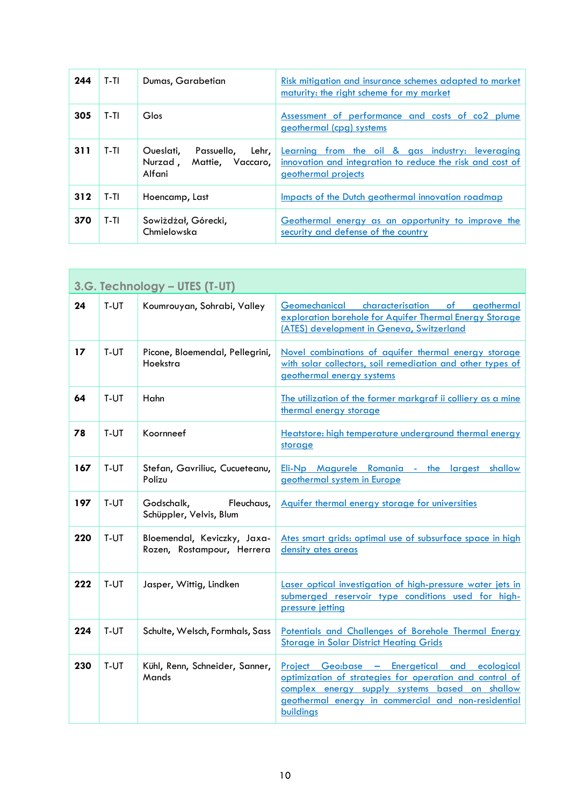| 244 | $T-TI$ | Dumas, Garabetian                                                           | Risk mitigation and insurance schemes adapted to market<br>maturity: the right scheme for my market                                  |
|-----|--------|-----------------------------------------------------------------------------|--------------------------------------------------------------------------------------------------------------------------------------|
| 305 | T-TI   | Glos                                                                        | Assessment of performance and costs of co2 plume<br>geothermal (cpg) systems                                                         |
| 311 | T-TI   | Oueslati,<br>Lehr, I<br>Passuello,<br>Nurzad,<br>Mattie, Vaccaro,<br>Alfani | Learning from the oil & gas industry: leveraging<br>innovation and integration to reduce the risk and cost of<br>geothermal projects |
| 312 | T-TI   | Hoencamp, Last                                                              | Impacts of the Dutch geothermal innovation roadmap                                                                                   |
| 370 | T-TI   | Sowiżdżał, Górecki,<br>Chmielowska                                          | Geothermal energy as an opportunity to improve the<br>security and defense of the country                                            |

<span id="page-9-0"></span>

|     | 3.G. Technology - UTES (T-UT) |                                                           |                                                                                                                                                                                                                                |  |  |
|-----|-------------------------------|-----------------------------------------------------------|--------------------------------------------------------------------------------------------------------------------------------------------------------------------------------------------------------------------------------|--|--|
| 24  | T-UT                          | Koumrouyan, Sohrabi, Valley                               | Geomechanical characterisation of geothermal<br>exploration borehole for Aquifer Thermal Energy Storage<br>(ATES) development in Geneva, Switzerland                                                                           |  |  |
| 17  | T-UT                          | Picone, Bloemendal, Pellegrini,<br>Hoekstra               | Novel combinations of aquifer thermal energy storage<br>with solar collectors, soil remediation and other types of<br>geothermal energy systems                                                                                |  |  |
| 64  | T-UT                          | Hahn                                                      | The utilization of the former markgraf ii colliery as a mine<br>thermal energy storage                                                                                                                                         |  |  |
| 78  | T-UT                          | Koornneef                                                 | Heatstore: high temperature underground thermal energy<br>storage                                                                                                                                                              |  |  |
| 167 | T-UT                          | Stefan, Gavriliuc, Cucueteanu,<br>Polizu                  | Eli-Np Magurele Romania - the largest<br>shallow<br>geothermal system in Europe                                                                                                                                                |  |  |
| 197 | T-UT                          | Godschalk,<br>Fleuchaus,<br>Schüppler, Velvis, Blum       | Aquifer thermal energy storage for universities                                                                                                                                                                                |  |  |
| 220 | T-UT                          | Bloemendal, Keviczky, Jaxa-<br>Rozen, Rostampour, Herrera | Ates smart grids: optimal use of subsurface space in high<br>density ates areas                                                                                                                                                |  |  |
| 222 | T-UT                          | Jasper, Wittig, Lindken                                   | Laser optical investigation of high-pressure water jets in<br>submerged reservoir type conditions used for high-<br>pressure jetting                                                                                           |  |  |
| 224 | T-UT                          | Schulte, Welsch, Formhals, Sass                           | Potentials and Challenges of Borehole Thermal Energy<br><b>Storage in Solar District Heating Grids</b>                                                                                                                         |  |  |
| 230 | T-UT                          | Kühl, Renn, Schneider, Sanner,<br>Mands                   | Project Geo:base - Energetical and ecological<br>optimization of strategies for operation and control of<br>complex energy supply systems based on shallow<br>geothermal energy in commercial and non-residential<br>buildings |  |  |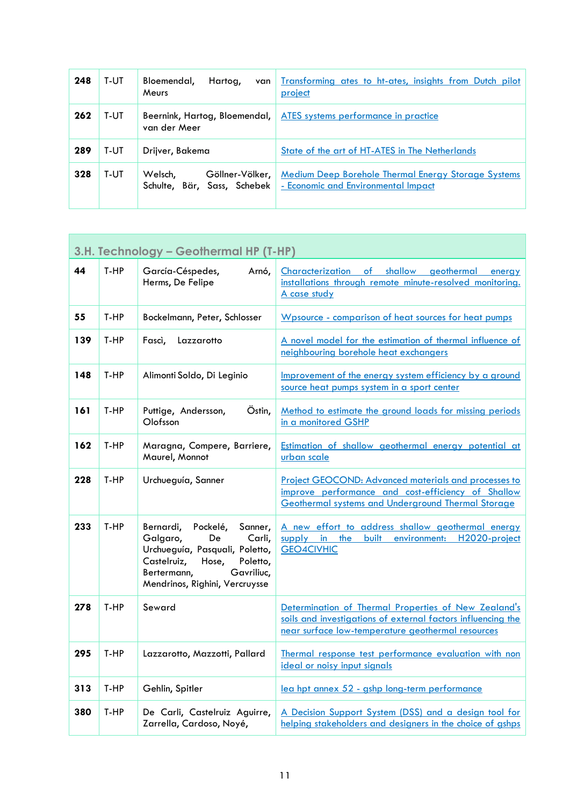| 248 | T-UT | Bloemendal,<br>Hartog,<br>van<br>Meurs                    | Transforming ates to ht-ates, insights from Dutch pilot<br>project                                |
|-----|------|-----------------------------------------------------------|---------------------------------------------------------------------------------------------------|
| 262 | T-UT | Beernink, Hartog, Bloemendal,<br>van der Meer             | ATES systems performance in practice                                                              |
| 289 | T-UT | Drijver, Bakema                                           | State of the art of HT-ATES in The Netherlands                                                    |
| 328 | T-UT | Welsch,<br>Göllner-Völker,<br>Schulte, Bär, Sass, Schebek | <b>Medium Deep Borehole Thermal Energy Storage Systems</b><br>- Economic and Environmental Impact |

<span id="page-10-0"></span>

|     | 3.H. Technology - Geothermal HP (T-HP) |                                                                                                                                                                                                   |                                                                                                                                                                           |  |
|-----|----------------------------------------|---------------------------------------------------------------------------------------------------------------------------------------------------------------------------------------------------|---------------------------------------------------------------------------------------------------------------------------------------------------------------------------|--|
| 44  | T-HP                                   | García-Céspedes,<br>Arnó,<br>Herms, De Felipe                                                                                                                                                     | $\overline{\phantom{a}}$<br>shallow<br>geothermal<br>Characterization<br>energy<br>installations through remote minute-resolved monitoring.<br>A case study               |  |
| 55  | T-HP                                   | Bockelmann, Peter, Schlosser                                                                                                                                                                      | Wpsource - comparison of heat sources for heat pumps                                                                                                                      |  |
| 139 | T-HP                                   | Fascì,<br>Lazzarotto                                                                                                                                                                              | A novel model for the estimation of thermal influence of<br>neighbouring borehole heat exchangers                                                                         |  |
| 148 | T-HP                                   | Alimonti Soldo, Di Leginio                                                                                                                                                                        | Improvement of the energy system efficiency by a ground<br>source heat pumps system in a sport center                                                                     |  |
| 161 | T-HP                                   | Östin,<br>Puttige, Andersson,<br>Olofsson                                                                                                                                                         | Method to estimate the ground loads for missing periods<br>in a monitored GSHP                                                                                            |  |
| 162 | T-HP                                   | Maragna, Compere, Barriere,<br>Maurel, Monnot                                                                                                                                                     | <b>Estimation of shallow geothermal energy potential at</b><br>urban scale                                                                                                |  |
| 228 | T-HP                                   | Urchueguía, Sanner                                                                                                                                                                                | <b>Project GEOCOND: Advanced materials and processes to</b><br>improve performance and cost-efficiency of Shallow<br>Geothermal systems and Underground Thermal Storage   |  |
| 233 | T-HP                                   | Bernardi,<br>Pockelé,<br>Sanner,<br>De<br>Galgaro,<br>Carli,<br>Urchueguía, Pasquali, Poletto,<br>Castelruiz,<br>Hose,<br>Poletto,<br>Bertermann,<br>Gavriliuc,<br>Mendrinos, Righini, Vercruysse | A new effort to address shallow geothermal energy<br>supply in<br><u>the</u><br>built environment:<br>H2020-project<br><b>GEO4CIVHIC</b>                                  |  |
| 278 | T-HP                                   | Seward                                                                                                                                                                                            | Determination of Thermal Properties of New Zealand's<br>soils and investigations of external factors influencing the<br>near surface low-temperature geothermal resources |  |
| 295 | T-HP                                   | Lazzarotto, Mazzotti, Pallard                                                                                                                                                                     | Thermal response test performance evaluation with non<br>ideal or noisy input signals                                                                                     |  |
| 313 | T-HP                                   | Gehlin, Spitler                                                                                                                                                                                   | lea hpt annex 52 - gshp long-term performance                                                                                                                             |  |
| 380 | T-HP                                   | De Carli, Castelruiz Aguirre,<br>Zarrella, Cardoso, Noyé,                                                                                                                                         | A Decision Support System (DSS) and a design tool for<br>helping stakeholders and designers in the choice of gshps                                                        |  |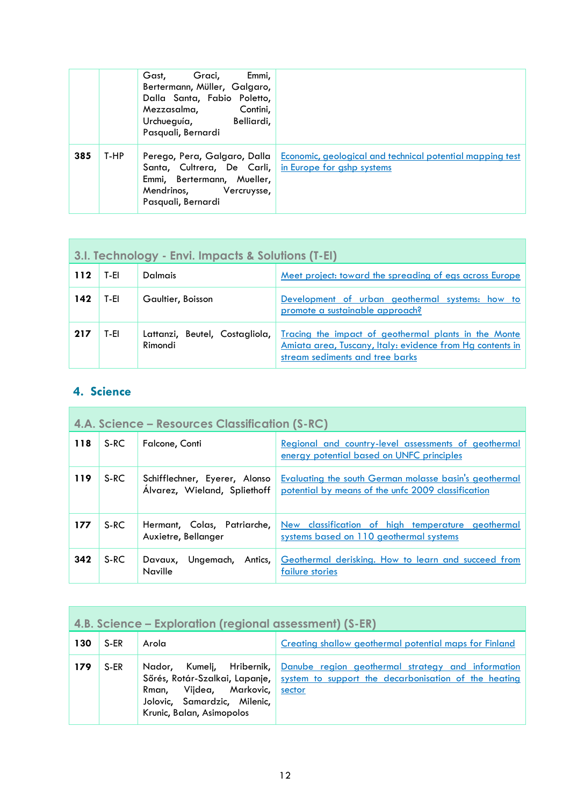|     |      | Gast,<br>Graci,<br>Emmi,<br>Bertermann, Müller, Galgaro,<br>Dalla Santa, Fabio Poletto,<br>Contini,<br>Mezzasalma,<br>Urchueguía,<br>Belliardi,<br>Pasquali, Bernardi |                                                           |
|-----|------|-----------------------------------------------------------------------------------------------------------------------------------------------------------------------|-----------------------------------------------------------|
| 385 | T-HP | Perego, Pera, Galgaro, Dalla  <br>Santa, Cultrera, De Carli, in Europe for ashp systems<br>Emmi, Bertermann, Mueller,<br>Mendrinos, Vercruysse,<br>Pasquali, Bernardi | Economic, geological and technical potential mapping test |

<span id="page-11-0"></span>

| 3.I. Technology - Envi. Impacts & Solutions (T-EI) |      |                                           |                                                                                                                                                      |  |
|----------------------------------------------------|------|-------------------------------------------|------------------------------------------------------------------------------------------------------------------------------------------------------|--|
| 112                                                | T-EL | <b>Dalmais</b>                            | Meet project: toward the spreading of egs across Europe                                                                                              |  |
| 142                                                | T-EI | Gaultier, Boisson                         | Development of urban geothermal systems: how to<br>promote a sustainable approach?                                                                   |  |
| 217                                                | T-EI | Lattanzi, Beutel, Costagliola,<br>Rimondi | Tracing the impact of geothermal plants in the Monte<br>Amiata area, Tuscany, Italy: evidence from Hg contents in<br>stream sediments and tree barks |  |

#### <span id="page-11-1"></span>**4. Science**

<span id="page-11-2"></span>

| <b>4.A. Science – Resources Classification (S-RC)</b> |        |                                                               |                                                                                                                     |  |
|-------------------------------------------------------|--------|---------------------------------------------------------------|---------------------------------------------------------------------------------------------------------------------|--|
| 118                                                   | S-RC   | Falcone, Conti                                                | Regional and country-level assessments of geothermal<br>energy potential based on UNFC principles                   |  |
| 119                                                   | S-RC   | Schifflechner, Eyerer, Alonso<br>Álvarez, Wieland, Spliethoff | <b>Evaluating the south German molasse basin's geothermal</b><br>potential by means of the unfc 2009 classification |  |
| 177                                                   | $S-RC$ | Hermant, Colas, Patriarche,<br>Auxietre, Bellanger            | New classification of high temperature geothermal<br>systems based on 110 geothermal systems                        |  |
| 342                                                   | S-RC   | Antics,<br>Ungemach,<br>Davaux,<br><b>Naville</b>             | Geothermal derisking. How to learn and succeed from<br>failure stories                                              |  |

<span id="page-11-3"></span>

|     | 4.B. Science – Exploration (regional assessment) (S-ER) |                                                                                                                        |                                                                                                                                               |  |  |
|-----|---------------------------------------------------------|------------------------------------------------------------------------------------------------------------------------|-----------------------------------------------------------------------------------------------------------------------------------------------|--|--|
| 130 | S-ER                                                    | Arola                                                                                                                  | <b>Creating shallow geothermal potential maps for Finland</b>                                                                                 |  |  |
| 179 | S-ER                                                    | Sőrés, Rotár-Szalkai, Lapanje,<br>Rman, Vijdea, Markovic,<br>Jolovic, Samardzic, Milenic,<br>Krunic, Balan, Asimopolos | Nador, Kumelj, Hribernik, Danube region geothermal strategy and information<br>system to support the decarbonisation of the heating<br>sector |  |  |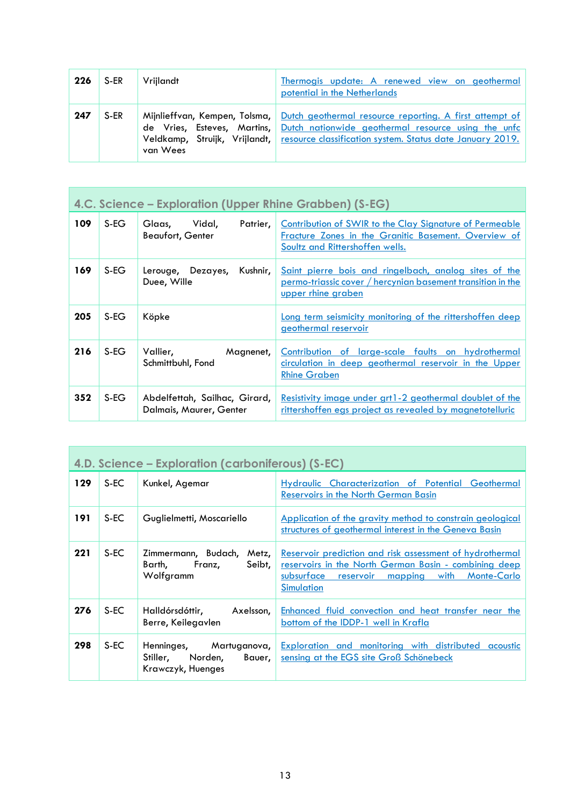| 226 | S-ER | Vriilandt | Thermogis update: A renewed view on geothermal<br>potential in the Netherlands                                                                                                                                                                                      |
|-----|------|-----------|---------------------------------------------------------------------------------------------------------------------------------------------------------------------------------------------------------------------------------------------------------------------|
| 247 | S-ER | van Wees  | Mijnlieffvan, Kempen, Tolsma, Dutch geothermal resource reporting. A first attempt of<br>de Vries, Esteves, Martins, Dutch nationwide geothermal resource using the unfc<br>Veldkamp, Struijk, Vrijlandt, resource classification system. Status date January 2019. |

<span id="page-12-0"></span>П

|     | 4.C. Science – Exploration (Upper Rhine Grabben) (S-EG) |                                                          |                                                                                                                                                           |  |
|-----|---------------------------------------------------------|----------------------------------------------------------|-----------------------------------------------------------------------------------------------------------------------------------------------------------|--|
| 109 | $S-EG$                                                  | Vidal,<br>Patrier,<br>Glaas,<br><b>Beaufort, Genter</b>  | <b>Contribution of SWIR to the Clay Signature of Permeable</b><br>Fracture Zones in the Granitic Basement. Overview of<br>Soultz and Rittershoffen wells. |  |
| 169 | S-EG                                                    | Kushnir,<br>Lerouge, Dezayes,<br>Duee, Wille             | Saint pierre bois and ringelbach, analog sites of the<br>permo-triassic cover / hercynian basement transition in the<br><u>upper rhine graben</u>         |  |
| 205 | S-EG                                                    | Köpke                                                    | Long term seismicity monitoring of the rittershoffen deep<br>geothermal reservoir                                                                         |  |
| 216 | S-EG                                                    | Vallier,<br>Magnenet,<br>Schmittbuhl, Fond               | Contribution of large-scale faults on hydrothermal<br>circulation in deep geothermal reservoir in the Upper<br><b>Rhine Graben</b>                        |  |
| 352 | S-EG                                                    | Abdelfettah, Sailhac, Girard,<br>Dalmais, Maurer, Genter | Resistivity image under grt1-2 geothermal doublet of the<br>rittershoffen egs project as revealed by magnetotelluric                                      |  |

<span id="page-12-1"></span>

|     | 4.D. Science – Exploration (carboniferous) (S-EC) |                                                                               |                                                                                                                                                                                                  |  |  |  |
|-----|---------------------------------------------------|-------------------------------------------------------------------------------|--------------------------------------------------------------------------------------------------------------------------------------------------------------------------------------------------|--|--|--|
| 129 | $S-EC$                                            | Kunkel, Agemar                                                                | <b>Hydraulic Characterization of Potential Geothermal</b><br><b>Reservoirs in the North German Basin</b>                                                                                         |  |  |  |
| 191 | S-EC                                              | Guglielmetti, Moscariello                                                     | <u>Application of the gravity method to constrain geological</u><br>structures of geothermal interest in the Geneva Basin                                                                        |  |  |  |
| 221 | S-EC                                              | Zimmermann, Budach,<br>Metz,<br>Seibt,<br>Barth,<br>Franz,<br>Wolfgramm       | Reservoir prediction and risk assessment of hydrothermal<br>reservoirs in the North German Basin - combining deep<br>subsurface reservoir<br>with<br>mapping<br><b>Monte-Carlo</b><br>Simulation |  |  |  |
| 276 | $S-EC$                                            | Halldórsdóttir,<br>Axelsson,<br>Berre, Keilegavlen                            | <u>Enhanced fluid convection and heat transfer near the</u><br>bottom of the IDDP-1 well in Krafla                                                                                               |  |  |  |
| 298 | S-EC                                              | Henninges, Martuganova,<br>Stiller,<br>Norden,<br>Bauer,<br>Krawczyk, Huenges | <b>Exploration and monitoring with distributed acoustic</b><br>sensing at the EGS site Groß Schönebeck                                                                                           |  |  |  |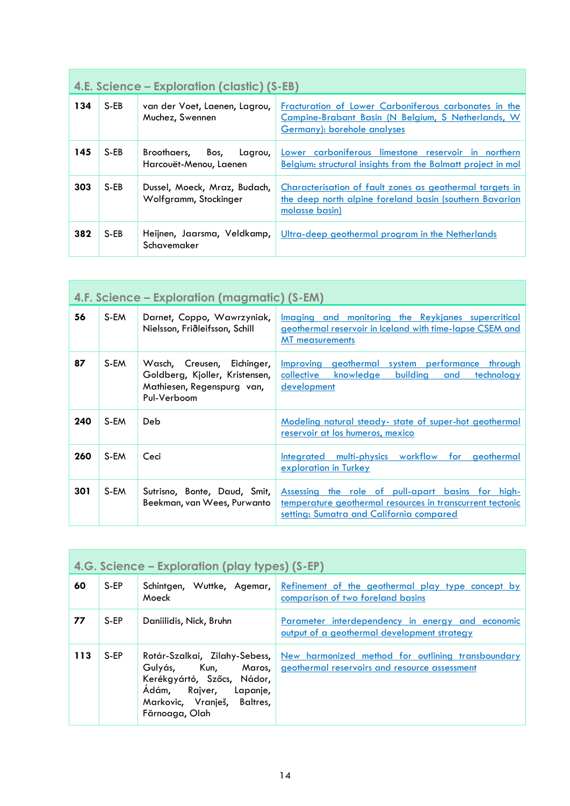<span id="page-13-0"></span>

|     | 4.E. Science – Exploration (clastic) (S-EB) |                                                          |                                                                                                                                            |  |  |  |
|-----|---------------------------------------------|----------------------------------------------------------|--------------------------------------------------------------------------------------------------------------------------------------------|--|--|--|
| 134 | $S-EB$                                      | van der Voet, Laenen, Lagrou,<br>Muchez, Swennen         | Fracturation of Lower Carboniferous carbonates in the<br>Campine-Brabant Basin (N Belgium, S Netherlands, W<br>Germany): borehole analyses |  |  |  |
| 145 | $S-EB$                                      | Broothaers.<br>Bos.<br>Lagrou,<br>Harcouët-Menou, Laenen | Lower carboniferous limestone reservoir in northern<br>Belgium: structural insights from the Balmatt project in mol                        |  |  |  |
| 303 | $S-EB$                                      | Dussel, Moeck, Mraz, Budach,<br>Wolfgramm, Stockinger    | Characterisation of fault zones as geothermal targets in<br>the deep north alpine foreland basin (southern Bavarian<br>molasse basin)      |  |  |  |
| 382 | S-EB                                        | Heijnen, Jaarsma, Veldkamp,<br>Schavemaker               | Ultra-deep geothermal program in the Netherlands                                                                                           |  |  |  |

<span id="page-13-1"></span>

|     | 4.F. Science – Exploration (magmatic) (S-EM) |                                                                                                           |                                                                                                                                                                   |  |  |
|-----|----------------------------------------------|-----------------------------------------------------------------------------------------------------------|-------------------------------------------------------------------------------------------------------------------------------------------------------------------|--|--|
| 56  | S-EM                                         | Darnet, Coppo, Wawrzyniak,<br>Nielsson, Friðleifsson, Schill                                              | <u>Imaging and monitoring the Reykjanes supercritical</u><br>geothermal reservoir in Iceland with time-lapse CSEM and<br><b>MT</b> measurements                   |  |  |
| 87  | S-EM                                         | Wasch, Creusen, Eichinger,<br>Goldberg, Kjoller, Kristensen,<br>Mathiesen, Regenspurg van,<br>Pul-Verboom | Improving geothermal system performance through<br>building<br>collective<br>knowledge<br><u>technology</u><br>and<br>development                                 |  |  |
| 240 | S-EM                                         | Deb                                                                                                       | <u>Modeling natural steady-state of super-hot geothermal</u><br>reservoir at los humeros, mexico                                                                  |  |  |
| 260 | S-EM                                         | Ceci                                                                                                      | <u>Integrated multi-physics workflow for geothermal</u><br>exploration in Turkey                                                                                  |  |  |
| 301 | S-EM                                         | Sutrisno, Bonte, Daud, Smit,<br>Beekman, van Wees, Purwanto                                               | <u>Assessing the role of pull-apart basins for high-</u><br>temperature geothermal resources in transcurrent tectonic<br>setting: Sumatra and California compared |  |  |

<span id="page-13-2"></span>

| 4.G. Science – Exploration (play types) (S-EP) |      |                                                                                                                                                               |                                                                                                        |  |  |
|------------------------------------------------|------|---------------------------------------------------------------------------------------------------------------------------------------------------------------|--------------------------------------------------------------------------------------------------------|--|--|
| 60                                             | S-EP | Schintgen, Wuttke, Agemar,<br>Moeck                                                                                                                           | Refinement of the geothermal play type concept by<br>comparison of two foreland basins                 |  |  |
| 77                                             | S-EP | Daniilidis, Nick, Bruhn                                                                                                                                       | <u>Parameter interdependency in energy and economic</u><br>output of a geothermal development strategy |  |  |
| 113                                            | S-EP | Rotár-Szalkai, Zilahy-Sebess,<br>Gulyás, Kun, Maros,<br>Kerékgyártó, Szőcs, Nádor,<br>Ádám, Rajver, Lapanje,<br>Markovic, Vranješ, Baltres,<br>Fărnoaga, Olah | New harmonized method for outlining transboundary<br>geothermal reservoirs and resource assessment     |  |  |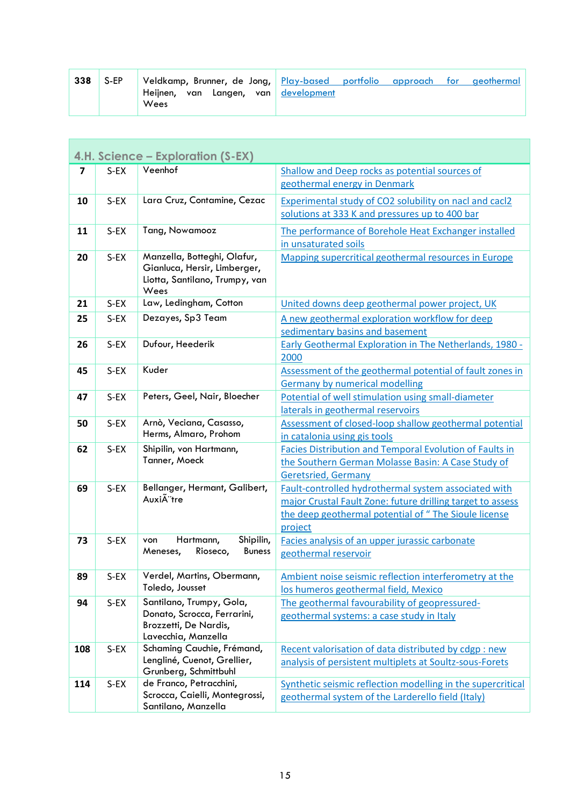| 338 | S-EP | Veldkamp, Brunner, de Jong, Play-based portfolio |                 | approach | tor : | aeothermal |
|-----|------|--------------------------------------------------|-----------------|----------|-------|------------|
|     |      | Heiinen.<br>Langen,<br>van<br>Wees               | van development |          |       |            |

<span id="page-14-0"></span>

|                         | 4.H. Science – Exploration (S-EX) |                                                                                                       |                                                                                             |  |  |
|-------------------------|-----------------------------------|-------------------------------------------------------------------------------------------------------|---------------------------------------------------------------------------------------------|--|--|
| $\overline{\mathbf{z}}$ | S-EX                              | Veenhof                                                                                               | Shallow and Deep rocks as potential sources of                                              |  |  |
|                         |                                   |                                                                                                       | geothermal energy in Denmark                                                                |  |  |
| 10                      | S-EX                              | Lara Cruz, Contamine, Cezac                                                                           | Experimental study of CO2 solubility on nacl and cacl2                                      |  |  |
|                         |                                   |                                                                                                       | solutions at 333 K and pressures up to 400 bar                                              |  |  |
| 11                      | $S$ -EX                           | Tang, Nowamooz                                                                                        | The performance of Borehole Heat Exchanger installed                                        |  |  |
|                         |                                   |                                                                                                       | in unsaturated soils                                                                        |  |  |
| 20                      | $S-EX$                            | Manzella, Botteghi, Olafur,<br>Gianluca, Hersir, Limberger,<br>Liotta, Santilano, Trumpy, van<br>Wees | Mapping supercritical geothermal resources in Europe                                        |  |  |
| 21                      | S-EX                              | Law, Ledingham, Cotton                                                                                | United downs deep geothermal power project, UK                                              |  |  |
| 25                      | S-EX                              | Dezayes, Sp3 Team                                                                                     | A new geothermal exploration workflow for deep                                              |  |  |
|                         |                                   |                                                                                                       | sedimentary basins and basement                                                             |  |  |
| 26                      | S-EX                              | Dufour, Heederik                                                                                      | <b>Early Geothermal Exploration in The Netherlands, 1980 -</b>                              |  |  |
|                         |                                   |                                                                                                       | 2000                                                                                        |  |  |
| 45                      | S-EX                              | Kuder                                                                                                 | Assessment of the geothermal potential of fault zones in                                    |  |  |
| 47                      | $S-EX$                            | Peters, Geel, Nair, Bloecher                                                                          | <b>Germany by numerical modelling</b><br>Potential of well stimulation using small-diameter |  |  |
|                         |                                   |                                                                                                       | laterals in geothermal reservoirs                                                           |  |  |
| 50                      | $S-EX$                            | Arnò, Veciana, Casasso,                                                                               | Assessment of closed-loop shallow geothermal potential                                      |  |  |
|                         |                                   | Herms, Almaro, Prohom                                                                                 | in catalonia using gis tools                                                                |  |  |
| 62                      | $S-EX$                            | Shipilin, von Hartmann,                                                                               | Facies Distribution and Temporal Evolution of Faults in                                     |  |  |
|                         |                                   | Tanner, Moeck                                                                                         | the Southern German Molasse Basin: A Case Study of                                          |  |  |
|                         |                                   |                                                                                                       | <b>Geretsried, Germany</b>                                                                  |  |  |
| 69                      | $S-EX$                            | Bellanger, Hermant, Galibert,                                                                         | Fault-controlled hydrothermal system associated with                                        |  |  |
|                         |                                   | Auxià 'tre                                                                                            | major Crustal Fault Zone: future drilling target to assess                                  |  |  |
|                         |                                   |                                                                                                       | the deep geothermal potential of "The Sioule license                                        |  |  |
|                         |                                   |                                                                                                       | project                                                                                     |  |  |
| 73                      | $S-EX$                            | Hartmann,<br>Shipilin,<br>von<br>Rioseco,<br>Meneses,<br><b>Buness</b>                                | Facies analysis of an upper jurassic carbonate                                              |  |  |
|                         |                                   |                                                                                                       | geothermal reservoir                                                                        |  |  |
| 89                      | $S$ -EX                           | Verdel, Martins, Obermann,                                                                            | Ambient noise seismic reflection interferometry at the                                      |  |  |
|                         |                                   | Toledo, Jousset                                                                                       | los humeros geothermal field, Mexico                                                        |  |  |
| 94                      | $S-EX$                            | Santilano, Trumpy, Gola,                                                                              | The geothermal favourability of geopressured-                                               |  |  |
|                         |                                   | Donato, Scrocca, Ferrarini,<br>Brozzetti, De Nardis,                                                  | geothermal systems: a case study in Italy                                                   |  |  |
|                         |                                   | Lavecchia, Manzella                                                                                   |                                                                                             |  |  |
| 108                     | $S-EX$                            | Schaming Cauchie, Frémand,                                                                            | Recent valorisation of data distributed by cdgp: new                                        |  |  |
|                         |                                   | Lengliné, Cuenot, Grellier,                                                                           | analysis of persistent multiplets at Soultz-sous-Forets                                     |  |  |
|                         |                                   | Grunberg, Schmittbuhl                                                                                 |                                                                                             |  |  |
| 114                     | $S-EX$                            | de Franco, Petracchini,<br>Scrocca, Caielli, Montegrossi,                                             | Synthetic seismic reflection modelling in the supercritical                                 |  |  |
|                         |                                   | Santilano, Manzella                                                                                   | geothermal system of the Larderello field (Italy)                                           |  |  |
|                         |                                   |                                                                                                       |                                                                                             |  |  |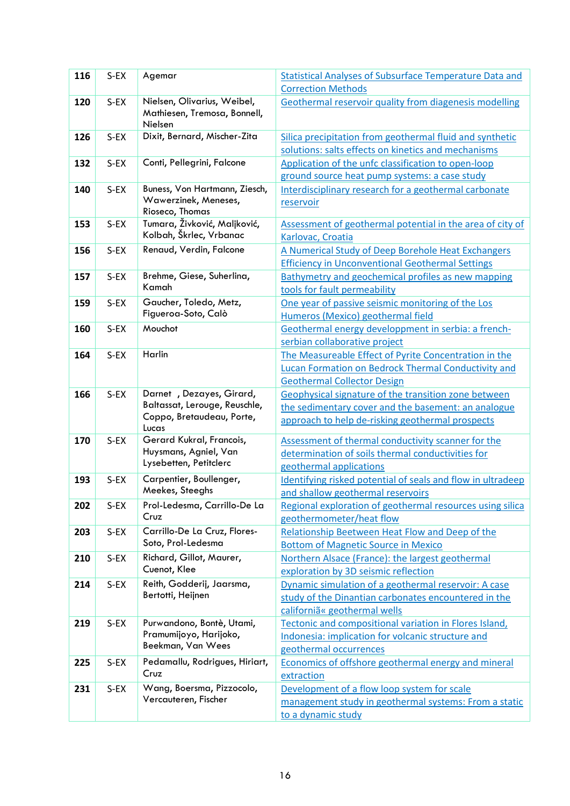| 116 | $S-EX$  | Agemar                                                      | Statistical Analyses of Subsurface Temperature Data and                                              |
|-----|---------|-------------------------------------------------------------|------------------------------------------------------------------------------------------------------|
|     |         |                                                             | <b>Correction Methods</b>                                                                            |
| 120 | $S-EX$  | Nielsen, Olivarius, Weibel,<br>Mathiesen, Tremosa, Bonnell, | Geothermal reservoir quality from diagenesis modelling                                               |
|     |         | Nielsen                                                     |                                                                                                      |
| 126 | $S-EX$  | Dixit, Bernard, Mischer-Zita                                | Silica precipitation from geothermal fluid and synthetic                                             |
|     |         | Conti, Pellegrini, Falcone                                  | solutions: salts effects on kinetics and mechanisms                                                  |
| 132 | $S-EX$  |                                                             | Application of the unfc classification to open-loop<br>ground source heat pump systems: a case study |
| 140 | $S-EX$  | Buness, Von Hartmann, Ziesch,                               | Interdisciplinary research for a geothermal carbonate                                                |
|     |         | Wawerzinek, Meneses,                                        | reservoir                                                                                            |
|     |         | Rioseco, Thomas                                             |                                                                                                      |
| 153 | $S-EX$  | Tumara, Živković, Maljković,                                | Assessment of geothermal potential in the area of city of                                            |
|     |         | Kolbah, Škrlec, Vrbanac                                     | Karlovac, Croatia                                                                                    |
| 156 | $S-EX$  | Renaud, Verdin, Falcone                                     | A Numerical Study of Deep Borehole Heat Exchangers                                                   |
|     |         |                                                             | <b>Efficiency in Unconventional Geothermal Settings</b>                                              |
| 157 | $S-EX$  | Brehme, Giese, Suherlina,                                   | Bathymetry and geochemical profiles as new mapping                                                   |
|     |         | Kamah                                                       | tools for fault permeability                                                                         |
| 159 | $S$ -EX | Gaucher, Toledo, Metz,                                      | One year of passive seismic monitoring of the Los                                                    |
|     |         | Figueroa-Soto, Calò                                         | Humeros (Mexico) geothermal field                                                                    |
| 160 | $S-EX$  | Mouchot                                                     | Geothermal energy developpment in serbia: a french-                                                  |
|     |         |                                                             | serbian collaborative project                                                                        |
| 164 | $S-EX$  | Harlin                                                      | The Measureable Effect of Pyrite Concentration in the                                                |
|     |         |                                                             | <b>Lucan Formation on Bedrock Thermal Conductivity and</b>                                           |
|     |         |                                                             | <b>Geothermal Collector Design</b>                                                                   |
| 166 | $S-EX$  | Darnet, Dezayes, Girard,                                    | Geophysical signature of the transition zone between                                                 |
|     |         | Baltassat, Lerouge, Reuschle,<br>Coppo, Bretaudeau, Porte,  | the sedimentary cover and the basement: an analogue                                                  |
|     |         | Lucas                                                       | approach to help de-risking geothermal prospects                                                     |
| 170 | $S$ -EX | Gerard Kukral, Francois,                                    | Assessment of thermal conductivity scanner for the                                                   |
|     |         | Huysmans, Agniel, Van                                       | determination of soils thermal conductivities for                                                    |
|     |         | Lysebetten, Petitclerc                                      | geothermal applications                                                                              |
| 193 | $S-EX$  | Carpentier, Boullenger,                                     | Identifying risked potential of seals and flow in ultradeep                                          |
|     |         | Meekes, Steeghs                                             | and shallow geothermal reservoirs                                                                    |
| 202 | $S-EX$  | Prol-Ledesma, Carrillo-De La                                | Regional exploration of geothermal resources using silica                                            |
|     |         | Cruz                                                        | geothermometer/heat flow                                                                             |
| 203 | $S$ -EX | Carrillo-De La Cruz, Flores-                                | Relationship Beetween Heat Flow and Deep of the                                                      |
|     |         | Soto, Prol-Ledesma                                          | <b>Bottom of Magnetic Source in Mexico</b>                                                           |
| 210 | $S-EX$  | Richard, Gillot, Maurer,<br>Cuenot, Klee                    | Northern Alsace (France): the largest geothermal                                                     |
|     |         |                                                             | exploration by 3D seismic reflection                                                                 |
| 214 | $S-EX$  | Reith, Godderij, Jaarsma,<br>Bertotti, Heijnen              | Dynamic simulation of a geothermal reservoir: A case                                                 |
|     |         |                                                             | study of the Dinantian carbonates encountered in the                                                 |
|     |         |                                                             | californiã« geothermal wells                                                                         |
| 219 | $S-EX$  | Purwandono, Bontè, Utami,<br>Pramumijoyo, Harijoko,         | Tectonic and compositional variation in Flores Island,                                               |
|     |         | Beekman, Van Wees                                           | Indonesia: implication for volcanic structure and                                                    |
|     |         | Pedamallu, Rodrigues, Hiriart,                              | geothermal occurrences                                                                               |
| 225 | $S$ -EX | Cruz                                                        | Economics of offshore geothermal energy and mineral<br>extraction                                    |
| 231 | $S-EX$  | Wang, Boersma, Pizzocolo,                                   | Development of a flow loop system for scale                                                          |
|     |         | Vercauteren, Fischer                                        | management study in geothermal systems: From a static                                                |
|     |         |                                                             | to a dynamic study                                                                                   |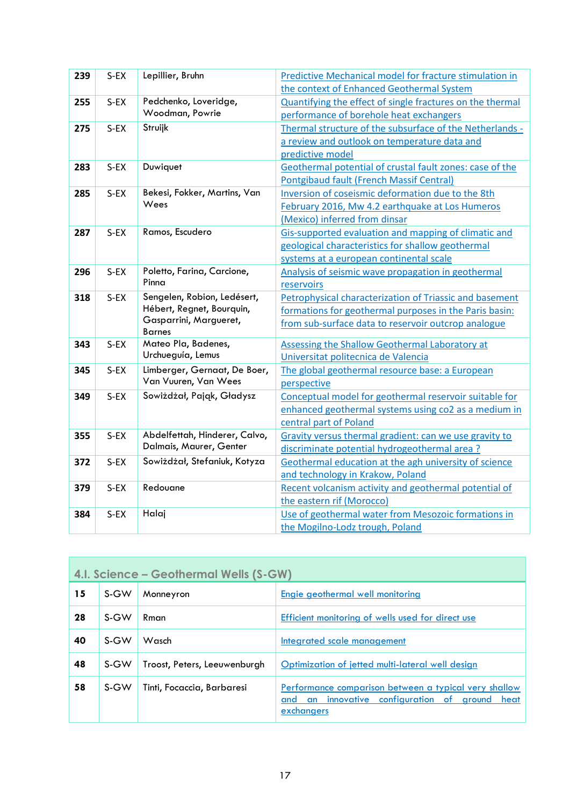| 239 | $S-EX$ | Lepillier, Bruhn                        | Predictive Mechanical model for fracture stimulation in   |
|-----|--------|-----------------------------------------|-----------------------------------------------------------|
|     |        |                                         | the context of Enhanced Geothermal System                 |
| 255 | $S-EX$ | Pedchenko, Loveridge,                   | Quantifying the effect of single fractures on the thermal |
|     |        | Woodman, Powrie                         | performance of borehole heat exchangers                   |
| 275 | $S-EX$ | Struijk                                 | Thermal structure of the subsurface of the Netherlands -  |
|     |        |                                         | a review and outlook on temperature data and              |
|     |        |                                         | predictive model                                          |
| 283 | S-EX   | Duwiquet                                | Geothermal potential of crustal fault zones: case of the  |
|     |        |                                         | <b>Pontgibaud fault (French Massif Central)</b>           |
| 285 | S-EX   | Bekesi, Fokker, Martins, Van            | Inversion of coseismic deformation due to the 8th         |
|     |        | Wees                                    | February 2016, Mw 4.2 earthquake at Los Humeros           |
|     |        |                                         | (Mexico) inferred from dinsar                             |
| 287 | S-EX   | Ramos, Escudero                         | Gis-supported evaluation and mapping of climatic and      |
|     |        |                                         | geological characteristics for shallow geothermal         |
|     |        |                                         | systems at a european continental scale                   |
| 296 | S-EX   | Poletto, Farina, Carcione,              | Analysis of seismic wave propagation in geothermal        |
|     |        | Pinna                                   | reservoirs                                                |
| 318 | $S-EX$ | Sengelen, Robion, Ledésert,             | Petrophysical characterization of Triassic and basement   |
|     |        | Hébert, Regnet, Bourquin,               | formations for geothermal purposes in the Paris basin:    |
|     |        | Gasparrini, Margueret,<br><b>Barnes</b> | from sub-surface data to reservoir outcrop analogue       |
| 343 | $S-EX$ | Mateo Pla, Badenes,                     | Assessing the Shallow Geothermal Laboratory at            |
|     |        | Urchueguía, Lemus                       | Universitat politecnica de Valencia                       |
| 345 | $S-EX$ | Limberger, Gernaat, De Boer,            | The global geothermal resource base: a European           |
|     |        | Van Vuuren, Van Wees                    | perspective                                               |
| 349 | $S-EX$ | Sowiżdżał, Pająk, Gładysz               | Conceptual model for geothermal reservoir suitable for    |
|     |        |                                         | enhanced geothermal systems using co2 as a medium in      |
|     |        |                                         | central part of Poland                                    |
| 355 | $S-EX$ | Abdelfettah, Hinderer, Calvo,           | Gravity versus thermal gradient: can we use gravity to    |
|     |        | Dalmais, Maurer, Genter                 | discriminate potential hydrogeothermal area?              |
| 372 | $S-EX$ | Sowiżdżał, Stefaniuk, Kotyza            | Geothermal education at the agh university of science     |
|     |        |                                         | and technology in Krakow, Poland                          |
| 379 | $S-EX$ | Redouane                                | Recent volcanism activity and geothermal potential of     |
|     |        |                                         | the eastern rif (Morocco)                                 |
| 384 | S-EX   | Halaj                                   | Use of geothermal water from Mesozoic formations in       |
|     |        |                                         | the Mogilno-Lodz trough, Poland                           |

<span id="page-16-0"></span>

| 4.1. Science – Geothermal Wells (S-GW) |      |                              |                                                                                                                                |  |
|----------------------------------------|------|------------------------------|--------------------------------------------------------------------------------------------------------------------------------|--|
| 15                                     | S-GW | Monneyron                    | Engie geothermal well monitoring                                                                                               |  |
| 28                                     | S-GW | Rman                         | Efficient monitoring of wells used for direct use                                                                              |  |
| 40                                     | S-GW | Wasch                        | Integrated scale management                                                                                                    |  |
| 48                                     | S-GW | Troost, Peters, Leeuwenburgh | Optimization of jetted multi-lateral well design                                                                               |  |
| 58                                     | S-GW | Tinti, Focaccia, Barbaresi   | Performance comparison between a typical very shallow<br>innovative configuration of ground<br>heat<br>and<br>an<br>exchangers |  |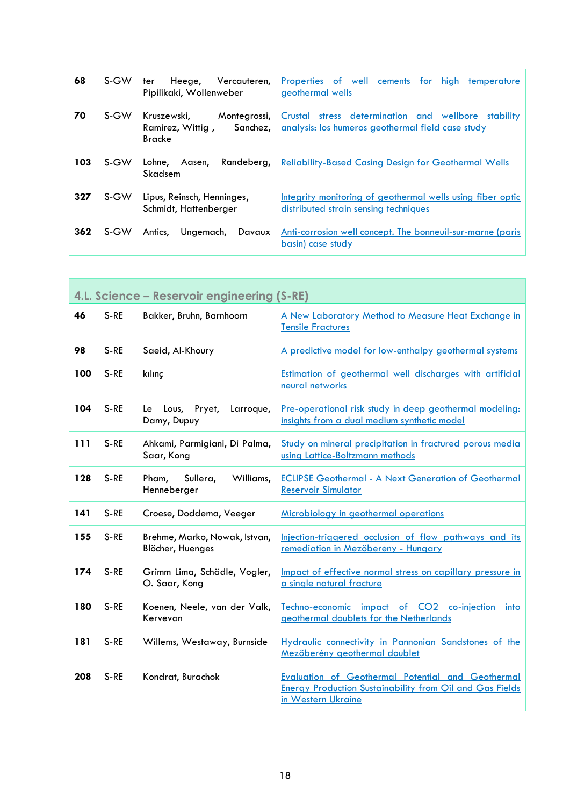| 68  | S-GW | Heege, Vercauteren,<br>ter<br>Pipilikaki, Wollenweber                        | Properties of well cements<br>high temperature<br>for<br>geothermal wells                                   |
|-----|------|------------------------------------------------------------------------------|-------------------------------------------------------------------------------------------------------------|
| 70  | S-GW | Kruszewski,<br>Montegrossi,<br>Ramirez, Wittig,<br>Sanchez,<br><b>Bracke</b> | Crustal<br>stress determination and wellbore stability<br>analysis: los humeros geothermal field case study |
| 103 | S-GW | Randeberg,<br>Lohne.<br>Aasen,<br>Skadsem                                    | <b>Reliability-Based Casing Design for Geothermal Wells</b>                                                 |
| 327 | S-GW | Lipus, Reinsch, Henninges,<br>Schmidt, Hattenberger                          | Integrity monitoring of geothermal wells using fiber optic<br>distributed strain sensing techniques         |
| 362 | S-GW | Ungemach,<br>Davaux<br>Antics,                                               | Anti-corrosion well concept. The bonneuil-sur-marne (paris<br>basin) case study                             |

<span id="page-17-0"></span>

| 4.L. Science – Reservoir engineering (S-RE) |      |                                                   |                                                                                                                                                   |  |
|---------------------------------------------|------|---------------------------------------------------|---------------------------------------------------------------------------------------------------------------------------------------------------|--|
| 46                                          | S-RE | Bakker, Bruhn, Barnhoorn                          | A New Laboratory Method to Measure Heat Exchange in<br><b>Tensile Fractures</b>                                                                   |  |
| 98                                          | S-RE | Saeid, Al-Khoury                                  | A predictive model for low-enthalpy geothermal systems                                                                                            |  |
| 100                                         | S-RE | kılınç                                            | Estimation of geothermal well discharges with artificial<br>neural networks                                                                       |  |
| 104                                         | S-RE | Le Lous, Pryet,<br>Larroque,<br>Damy, Dupuy       | Pre-operational risk study in deep geothermal modeling:<br>insights from a dual medium synthetic model                                            |  |
| 111                                         | S-RE | Ahkami, Parmigiani, Di Palma,<br>Saar, Kong       | Study on mineral precipitation in fractured porous media<br>using Lattice-Boltzmann methods                                                       |  |
| 128                                         | S-RE | Pham,<br>Sullera,<br>Williams,<br>Henneberger     | <b>ECLIPSE Geothermal - A Next Generation of Geothermal</b><br><b>Reservoir Simulator</b>                                                         |  |
| 141                                         | S-RE | Croese, Doddema, Veeger                           | Microbiology in geothermal operations                                                                                                             |  |
| 155                                         | S-RE | Brehme, Marko, Nowak, Istvan,<br>Blöcher, Huenges | Injection-triggered occlusion of flow pathways and its<br>remediation in Mezöbereny - Hungary                                                     |  |
| 174                                         | S-RE | Grimm Lima, Schädle, Vogler,<br>O. Saar, Kong     | Impact of effective normal stress on capillary pressure in<br>a single natural fracture                                                           |  |
| 180                                         | S-RE | Koenen, Neele, van der Valk,<br>Kervevan          | Techno-economic impact of CO2 co-injection<br>into<br>geothermal doublets for the Netherlands                                                     |  |
| 181                                         | S-RE | Willems, Westaway, Burnside                       | Hydraulic connectivity in Pannonian Sandstones of the<br>Mezőberény geothermal doublet                                                            |  |
| 208                                         | S-RE | Kondrat, Burachok                                 | <b>Evaluation of Geothermal Potential and Geothermal</b><br><b>Energy Production Sustainability from Oil and Gas Fields</b><br>in Western Ukraine |  |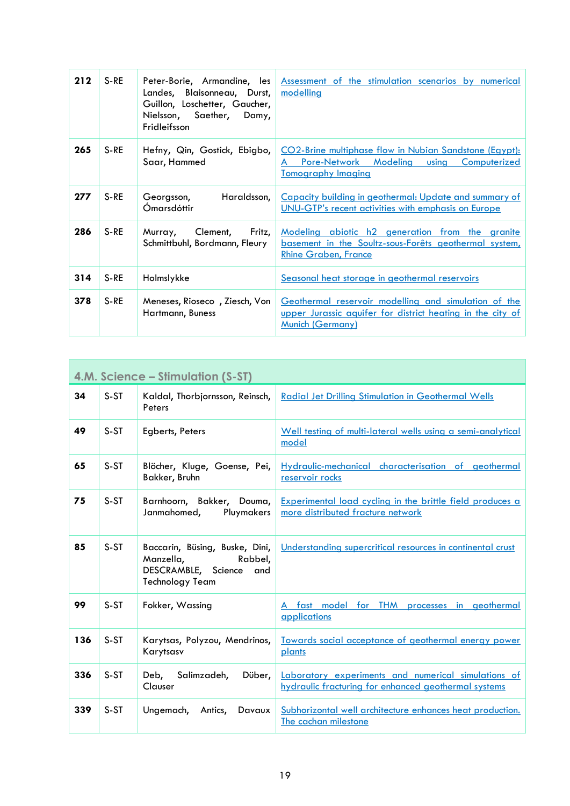| 212 | S-RE   | Peter-Borie, Armandine, les<br>Landes, Blaisonneau, Durst,<br>Guillon, Loschetter, Gaucher,<br>Nielsson, Saether, Damy,<br>Fridleifsson | Assessment of the stimulation scenarios by numerical<br>modelling                                                                                    |
|-----|--------|-----------------------------------------------------------------------------------------------------------------------------------------|------------------------------------------------------------------------------------------------------------------------------------------------------|
| 265 | S-RE   | Hefny, Qin, Gostick, Ebigbo,<br>Saar, Hammed                                                                                            | CO2-Brine multiphase flow in Nubian Sandstone (Egypt):<br>Pore-Network Modeling using<br>Computerized<br>A<br><b>Tomography Imaging</b>              |
| 277 | $S-RE$ | Haraldsson,<br>Georgsson,<br>Ómarsdóttir                                                                                                | Capacity building in geothermal: Update and summary of<br>UNU-GTP's recent activities with emphasis on Europe                                        |
| 286 | S-RE   | Fritz,<br>Clement,<br>Murray,<br>Schmittbuhl, Bordmann, Fleury                                                                          | Modeling abiotic h2 generation from the granite<br>basement in the Soultz-sous-Forêts geothermal system,<br><b>Rhine Graben, France</b>              |
| 314 | S-RE   | Holmslykke                                                                                                                              | Seasonal heat storage in geothermal reservoirs                                                                                                       |
| 378 | S-RE   | Meneses, Rioseco, Ziesch, Von<br>Hartmann, Buness                                                                                       | Geothermal reservoir modelling and simulation of the<br><u>upper Jurassic aquifer for district heating in the city of</u><br><b>Munich (Germany)</b> |

<span id="page-18-0"></span>

| 4.M. Science – Stimulation (S-ST) |        |                                                                                                             |                                                                                                             |
|-----------------------------------|--------|-------------------------------------------------------------------------------------------------------------|-------------------------------------------------------------------------------------------------------------|
| 34                                | S-ST   | Kaldal, Thorbjornsson, Reinsch,<br>Peters                                                                   | <b>Radial Jet Drilling Stimulation in Geothermal Wells</b>                                                  |
| 49                                | S-ST   | Egberts, Peters                                                                                             | Well testing of multi-lateral wells using a semi-analytical<br>model                                        |
| 65                                | S-ST   | Blöcher, Kluge, Goense, Pei,<br>Bakker, Bruhn                                                               | Hydraulic-mechanical characterisation of geothermal<br>reservoir rocks                                      |
| 75                                | S-ST   | Barnhoorn, Bakker, Douma,<br>Janmahomed,<br>Pluymakers                                                      | <b>Experimental load cycling in the brittle field produces a</b><br>more distributed fracture network       |
| 85                                | S-ST   | Baccarin, Büsing, Buske, Dini,<br>Manzella,<br>Rabbel,<br>DESCRAMBLE, Science and<br><b>Technology Team</b> | Understanding supercritical resources in continental crust                                                  |
| 99                                | S-ST   | Fokker, Wassing                                                                                             | A fast model for THM processes in geothermal<br>applications                                                |
| 136                               | S-ST   | Karytsas, Polyzou, Mendrinos,<br>Karytsasv                                                                  | Towards social acceptance of geothermal energy power<br>plants                                              |
| 336                               | S-ST   | Salimzadeh,<br>Deb,<br>Düber,<br>Clauser                                                                    | Laboratory experiments and numerical simulations of<br>hydraulic fracturing for enhanced geothermal systems |
| 339                               | $S-ST$ | Ungemach, Antics,<br>Davaux                                                                                 | Subhorizontal well architecture enhances heat production.<br>The cachan milestone                           |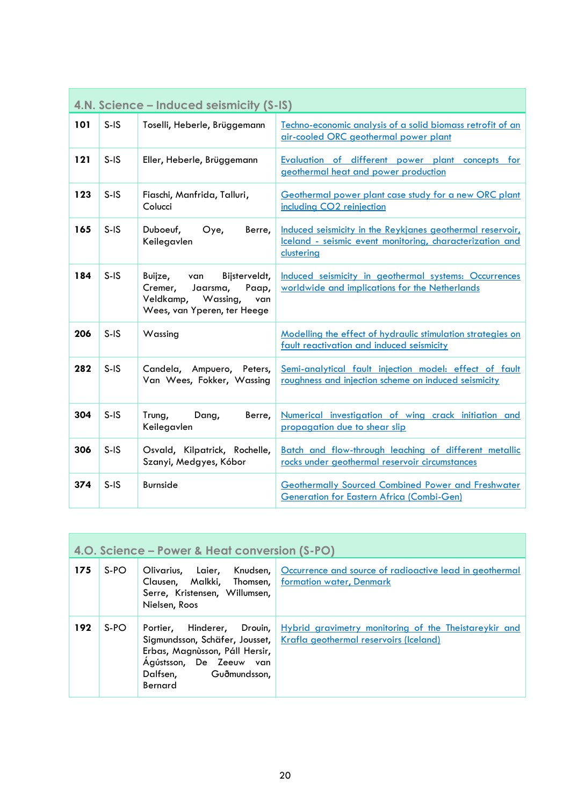<span id="page-19-0"></span>

| 4.N. Science – Induced seismicity (S-IS) |        |                                                                                                                             |                                                                                                                                     |
|------------------------------------------|--------|-----------------------------------------------------------------------------------------------------------------------------|-------------------------------------------------------------------------------------------------------------------------------------|
| 101                                      | $S-IS$ | Toselli, Heberle, Brüggemann                                                                                                | Techno-economic analysis of a solid biomass retrofit of an<br>air-cooled ORC geothermal power plant                                 |
| 121                                      | $S-IS$ | Eller, Heberle, Brüggemann                                                                                                  | Evaluation of different power plant concepts<br>for<br>geothermal heat and power production                                         |
| 123                                      | $S-IS$ | Fiaschi, Manfrida, Talluri,<br>Colucci                                                                                      | Geothermal power plant case study for a new ORC plant<br>including CO2 reinjection                                                  |
| 165                                      | $S-IS$ | Duboeuf,<br>Oye,<br>Berre,<br>Keilegavlen                                                                                   | Induced seismicity in the Reykjanes geothermal reservoir,<br>Iceland - seismic event monitoring, characterization and<br>clustering |
| 184                                      | $S-IS$ | Buijze,<br>Bijsterveldt,<br>van<br>Cremer,<br>Jaarsma,<br>Paap,<br>Veldkamp, Wassing,<br>van<br>Wees, van Yperen, ter Heege | Induced seismicity in geothermal systems: Occurrences<br>worldwide and implications for the Netherlands                             |
| 206                                      | $S-IS$ | Wassing                                                                                                                     | Modelling the effect of hydraulic stimulation strategies on<br>fault reactivation and induced seismicity                            |
| 282                                      | $S-IS$ | Candela, Ampuero, Peters,<br>Van Wees, Fokker, Wassing                                                                      | Semi-analytical fault injection model: effect of fault<br>roughness and injection scheme on induced seismicity                      |
| 304                                      | $S-IS$ | Trung,<br>Dang,<br>Berre,<br>Keilegavlen                                                                                    | Numerical investigation of wing crack initiation and<br>propagation due to shear slip                                               |
| 306                                      | $S-IS$ | Osvald, Kilpatrick, Rochelle,<br>Szanyi, Medgyes, Kóbor                                                                     | Batch and flow-through leaching of different metallic<br>rocks under geothermal reservoir circumstances                             |
| 374                                      | $S-IS$ | <b>Burnside</b>                                                                                                             | <b>Geothermally Sourced Combined Power and Freshwater</b><br><b>Generation for Eastern Africa (Combi-Gen)</b>                       |

<span id="page-19-1"></span>

| 4.0. Science – Power & Heat conversion (S-PO) |      |                                                                                                      |                                                                                                                                                           |
|-----------------------------------------------|------|------------------------------------------------------------------------------------------------------|-----------------------------------------------------------------------------------------------------------------------------------------------------------|
| 175                                           | S-PO | Clausen, Malkki, Thomsen, formation water, Denmark<br>Serre, Kristensen, Willumsen,<br>Nielsen, Roos | Olivarius, Laier, Knudsen, Occurrence and source of radioactive lead in geothermal                                                                        |
| 192                                           | S-PO | Erbas, Magnùsson, Páll Hersir,<br>Ágústsson, De Zeeuw van<br>Dalfsen, Guðmundsson,<br>Bernard        | Portier, Hinderer, Drouin, Hybrid gravimetry monitoring of the Theistareykir and<br>Sigmundsson, Schäfer, Jousset, Krafla geothermal reservoirs (Iceland) |